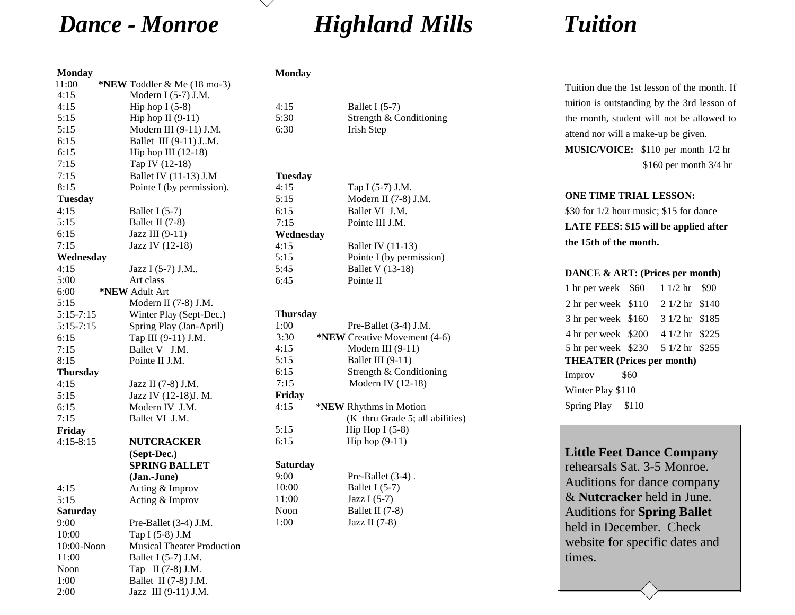# *Dance - Monroe Highland Mills Tuition*

## **Monday**

| 11:00           | *NEW Toddler & Me (18 mo-3)<br>Modern I (5-7) J.M. |                        |                             |
|-----------------|----------------------------------------------------|------------------------|-----------------------------|
| 4:15<br>4:15    | Hip hop $I(5-8)$                                   | 4:15                   | Ballet I (5-7)              |
| 5:15            | Hip hop II $(9-11)$                                | 5:30                   | Strength & Conditioning     |
| 5:15            | Modern III (9-11) J.M.                             | 6:30                   | Irish Step                  |
|                 | Ballet III (9-11) J.M.                             |                        |                             |
| 6:15<br>6:15    | Hip hop III $(12-18)$                              |                        |                             |
| 7:15            | Tap IV (12-18)                                     |                        |                             |
|                 | Ballet IV (11-13) J.M                              |                        |                             |
| 7:15<br>8:15    | Pointe I (by permission).                          | <b>Tuesday</b><br>4:15 | Tap I (5-7) J.M.            |
| <b>Tuesday</b>  |                                                    | 5:15                   | Modern II (7-8) J.M.        |
| 4:15            |                                                    |                        | Ballet VI J.M.              |
|                 | Ballet I $(5-7)$                                   | 6:15                   |                             |
| 5:15            | Ballet II (7-8)                                    | 7:15                   | Pointe III J.M.             |
| 6:15            | Jazz III (9-11)                                    | Wednesday              |                             |
| 7:15            | Jazz IV (12-18)                                    | 4:15                   | <b>Ballet IV</b> (11-13)    |
| Wednesday       |                                                    | 5:15                   | Pointe I (by permission)    |
| 4:15            | Jazz I (5-7) J.M                                   | 5:45                   | <b>Ballet V</b> (13-18)     |
| 5:00            | Art class                                          | 6:45                   | Pointe II                   |
| 6:00            | *NEW Adult Art                                     |                        |                             |
| 5:15            | Modern II (7-8) J.M.                               |                        |                             |
| $5:15 - 7:15$   | Winter Play (Sept-Dec.)                            | <b>Thursday</b>        |                             |
| $5:15 - 7:15$   | Spring Play (Jan-April)                            | 1:00                   | Pre-Ballet (3-4) J.M.       |
| 6:15            | Тар III (9-11) Ј.М.                                | 3:30                   | *NEW Creative Movement (4-6 |
| 7:15            | Ballet V J.M.                                      | 4:15                   | Modern III $(9-11)$         |
| 8:15            | Pointe II J.M.                                     | 5:15                   | Ballet III (9-11)           |
| <b>Thursday</b> |                                                    | 6:15                   | Strength & Conditioning     |
| 4:15            | Jazz II (7-8) J.M.                                 | 7:15                   | Modern IV (12-18)           |
| 5:15            | Jazz IV (12-18)J. M.                               | Friday                 |                             |
| 6:15            | Modern IV J.M.                                     | 4:15                   | *NEW Rhythms in Motion      |
| 7:15            | Ballet VI J.M.                                     |                        | (K thru Grade 5; all abili  |
| Friday          |                                                    | 5:15                   | Hip Hop I $(5-8)$           |
| $4:15 - 8:15$   | <b>NUTCRACKER</b>                                  | 6:15                   | Hip hop $(9-11)$            |
|                 | (Sept-Dec.)                                        |                        |                             |
|                 | <b>SPRING BALLET</b>                               | <b>Saturday</b>        |                             |
|                 | (Jan.-June)                                        | 9:00                   | Pre-Ballet (3-4).           |
| 4:15            | Acting & Improv                                    | 10:00                  | Ballet I (5-7)              |
| 5:15            | Acting & Improv                                    | 11:00                  | Jazz I $(5-7)$              |
| <b>Saturday</b> |                                                    | Noon                   | Ballet II (7-8)             |
| 9:00            | Pre-Ballet (3-4) J.M.                              | 1:00                   | Jazz II $(7-8)$             |
| 10:00           | Tap I (5-8) J.M                                    |                        |                             |
| $10:00-N$ oon   | <b>Musical Theater Production</b>                  |                        |                             |
| 11:00           | Ballet I (5-7) J.M.                                |                        |                             |
| Noon            | Tap II (7-8) J.M.                                  |                        |                             |
| 1:00            | Ballet II (7-8) J.M.                               |                        |                             |
| 2:00            | Jazz III (9-11) J.M.                               |                        |                             |

# **Monday**

| Ballet I $(5-7)$        |
|-------------------------|
| Strength & Conditioning |
| Irish Step              |

### **Tuesday** 4:15

| 4:15      | Tap I (5-7) J.M.         |
|-----------|--------------------------|
| 5:15      | Modern II (7-8) J.M.     |
| 6:15      | Ballet VI J.M.           |
| 7:15      | Pointe III J.M.          |
| Wednesday |                          |
| 4:15      | <b>Ballet IV</b> (11-13) |
| 5:15      | Pointe I (by permission) |
| 5:45      | <b>Ballet V</b> (13-18)  |
| 6:45      | Pointe II                |

# **Thursday**

| 1:00   | Pre-Ballet $(3-4)$ J.M.         |
|--------|---------------------------------|
| 3:30   | *NEW Creative Movement (4-6)    |
| 4:15   | Modern III $(9-11)$             |
| 5:15   | Ballet III $(9-11)$             |
| 6:15   | Strength & Conditioning         |
| 7:15   | Modern IV $(12-18)$             |
| Friday |                                 |
|        |                                 |
| 4:15   | * <b>NEW</b> Rhythms in Motion  |
|        | (K thru Grade 5; all abilities) |
| 5:15   | Hip Hop I $(5-8)$               |
| 6:15   | Hip hop $(9-11)$                |
|        |                                 |

# **Saturday**

Tuition due the 1st lesson of the month. If tuition is outstanding by the 3rd lesson of the month, student will not be allowed to attend nor will a make-up be given. **MUSIC/VOICE:** \$110 per month 1/2 hr \$160 per month 3/4 hr

# **ONE TIME TRIAL LESSON:**

\$30 for 1/2 hour music; \$15 for dance **LATE FEES: \$15 will be applied after the 15th of the month.** 

# **DANCE & ART: (Prices per month)**

| 1 hr per week \$60  |                                                                                                                                                                             |
|---------------------|-----------------------------------------------------------------------------------------------------------------------------------------------------------------------------|
| 2 hr per week \$110 |                                                                                                                                                                             |
| 3 hr per week \$160 |                                                                                                                                                                             |
|                     |                                                                                                                                                                             |
|                     |                                                                                                                                                                             |
|                     |                                                                                                                                                                             |
| \$60                |                                                                                                                                                                             |
| Winter Play \$110   |                                                                                                                                                                             |
| Spring Play \$110   |                                                                                                                                                                             |
|                     | $11/2 \text{ hr}$ \$90<br>2 1/2 hr \$140<br>3 1/2 hr \$185<br>4 hr per week \$200 4 1/2 hr \$225<br>5 hr per week \$230 5 1/2 hr \$255<br><b>THEATER (Prices per month)</b> |

# **Little Feet Dance Company**

rehearsals Sat. 3-5 Monroe. Auditions for dance company & **Nutcracker** held in June. Auditions for **Spring Ballet** held in December. Check website for specific dates and times.